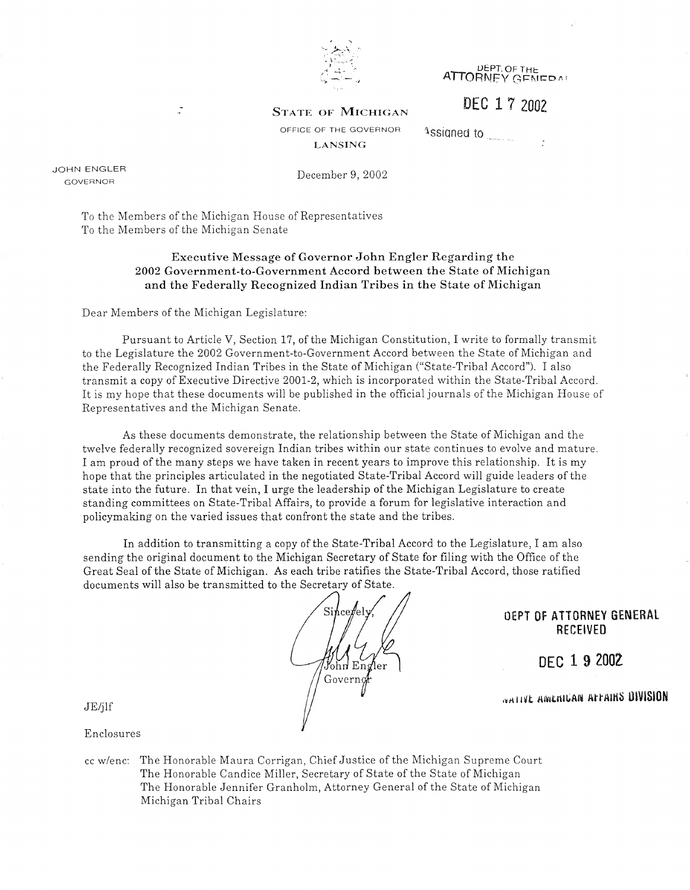

**ATTORNEY GENEDAL** 

DEC 1 7 2002

**STATE OF MICHIGAN** 

1ssigned to

OFFICE OF THE GOVERNOR **LANSING** 

JOHN ENGLER GOVERNOR

December 9, 2002

To the Members of the Michigan House of Representatives To the Members of the Michigan Senate

#### **Executive Message of Governor John Engler Regarding the 2002 Government-to-Government Accord between the State of Michigan and the Federally Recognized Indian Tribes in the State of Michigan**

Dear Members of the Michigan Legislature:

 $\mathbb{Z}$ 

Pursuant to Article V, Section 17, of the Michigan Constitution, I write to formally transmit to the Legislature the 2002 Government-to-Government Accord between the State of Michigan and the Federally Recognized Indian Tribes in the State of Michigan ("State-Tribal Accord"). I also transmit a copy of Executive Directive 2001-2, which is incorporated within the State-Tribal Accord. It is my hope that these documents will be published in the official journals of the Michigan House of Representatives and the Michigan Senate.

As these documents demonstrate, the relationship between the State of Michigan and the twelve federally recognized sovereign Indian tribes within our state continues to evolve and mature. I am proud of the many steps we have taken in recent years to improve this relationship. It is my hope that the principles articulated in the negotiated State-Tribal Accord will guide leaders of the state into the future. In that vein, I urge the leadership of the Michigan Legislature to create standing committees on State-Tribal Affairs, to provide a forum for legislative interaction and policymaking on the varied issues that confront the state and the tribes.

In addition to transmitting a copy of the State-Tribal Accord to the Legislature, I am also sending the original document to the Michigan Secretary of State for filing with the Office of the Great Seal of the State of Michigan. As each tribe ratifies the State-Tribal Accord, those ratified documents will also be transmitted to the Secretary of State.



OEPT OF ATTORNEY GENERAL RECEIVED

DEC 1 9 2002

*<u>NATIVE</u>* **AMENICAN ATTAINS DIVISION** 

JE/jlf

Enclosures

cc w/enc: The Honorable Maura Corrigan, Chief Justice of the Michigan Supreme Court The Honorable Candice Miller, Secretary of State of the State of Michigan The Honorable Jennifer Granholm, Attorney General of the State of Michigan Michigan Tribal Chairs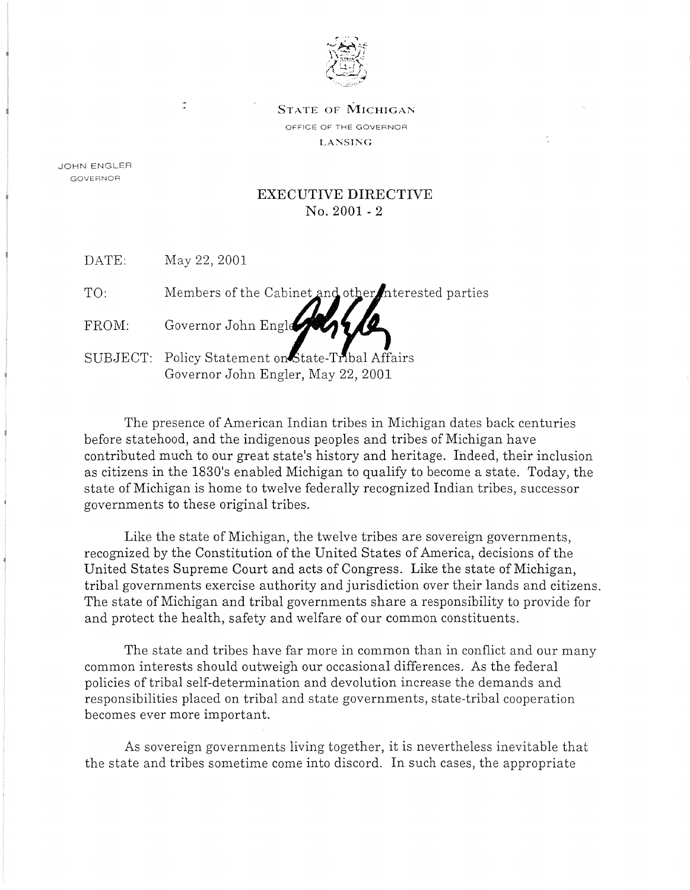

STATE OF MICHIGAN OFFICE OF THE GOVERNOR LANSING

÷

JOHN ENGLER GOVERNOR

#### EXECUTIVE DIRECTIVE No. 2001 - 2

DATE: May 22, 2001

 $\tilde{z}$ 

| TO: |  |  | Members of the Cabinet and other interested parties |  |
|-----|--|--|-----------------------------------------------------|--|
|     |  |  |                                                     |  |

FROM: Governor John Engle

SUBJECT: Policy Statement on State-Tribal Affairs Governor John Engler, May 22, 2001

The presence of American Indian tribes in Michigan dates back centuries before statehood, and the indigenous peoples and tribes of Michigan have contributed much to our great state's history and heritage. Indeed, their inclusion as citizens in the 1830's enabled Michigan to qualify to become a state. Today, the state of Michigan is home to twelve federally recognized Indian tribes, successor governments to these original tribes.

Like the state of Michigan, the twelve tribes are sovereign governments, recognized by the Constitution of the United States of America, decisions of the United States Supreme Court and acts of Congress. Like the state of Michigan, tribal governments exercise authority and jurisdiction over their lands and citizens. The state of Michigan and tribal governments share a responsibility to provide for and protect the health, safety and welfare of our common constituents.

The state and tribes have far more in common than in conflict and our many common interests should outweigh our occasional differences. As the federal policies of tribal self-determination and devolution increase the demands and responsibilities placed on tribal and state governments, state-tribal cooperation becomes ever more important.

As sovereign governments living together, it is nevertheless inevitable that the state and tribes sometime come into discord. In such cases, the appropriate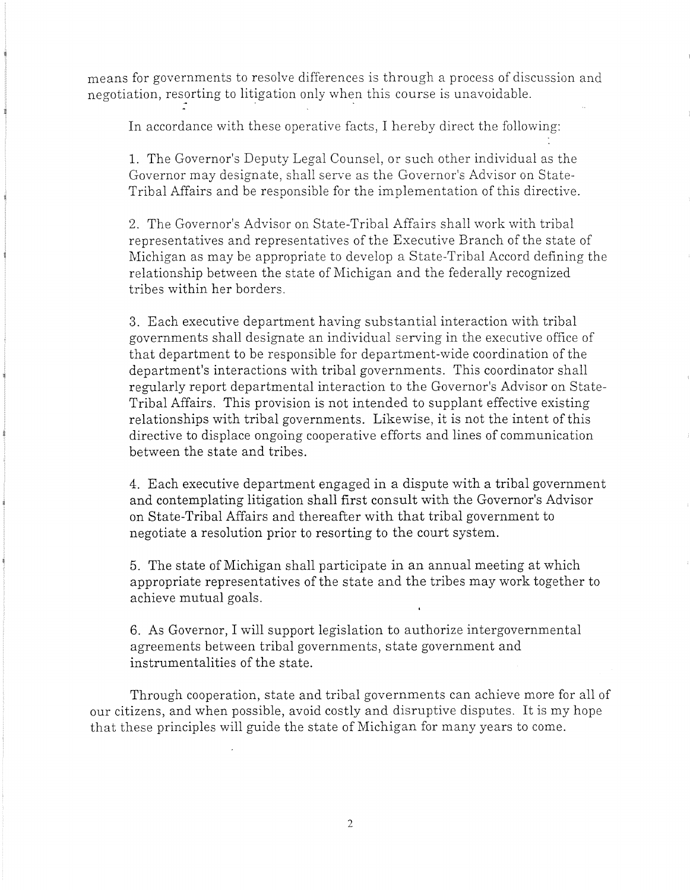means for governments to resolve differences is through a process of discussion and negotiation, resorting to litigation only when this course is unavoidable.

In accordance with these operative facts, I hereby direct the following:

1. The Governor's Deputy Legal Counsel, or such other individual as the Governor may designate, shall serve as the Governor's Advisor on State-Tribal Affairs and be responsible for the implementation of this directive.

2. The Governor's Advisor on State-Tribal Affairs shall work with tribal representatives and representatives of the Executive Branch of the state of Michigan as may be appropriate to develop a State-Tribal Accord defining the relationship between the state of Michigan and the federally recognized tribes within her borders.

3. Each executive department having substantial interaction with tribal governments shall designate an individual serving in the executive office of that department to be responsible for department-wide coordination of the department's interactions with tribal governments. This coordinator shall regularly report departmental interaction to the Governor's Advisor on State-Tribal Affairs. This provision is not intended to supplant effective existing relationships with tribal governments. Likewise, it is not the intent of this directive to displace ongoing cooperative efforts and lines of communication between the state and tribes.

4. Each executive department engaged in a dispute with a tribal government and contemplating litigation shall first consult with the Governor's Advisor on State-Tribal Affairs and thereafter with that tribal government to negotiate a resolution prior to resorting to the court system.

5. The state of Michigan shall participate in an annual meeting at which appropriate representatives of the state and the tribes may work together to achieve mutual goals.

6. As Governor, I will support legislation to authorize intergovernmental agreements between tribal governments, state government and instrumentalities of the state.

Through cooperation, state and tribal governments can achieve more for all of our citizens, and when possible, avoid costly and disruptive disputes. It is my hope that these principles will guide the state of Michigan for many years to come.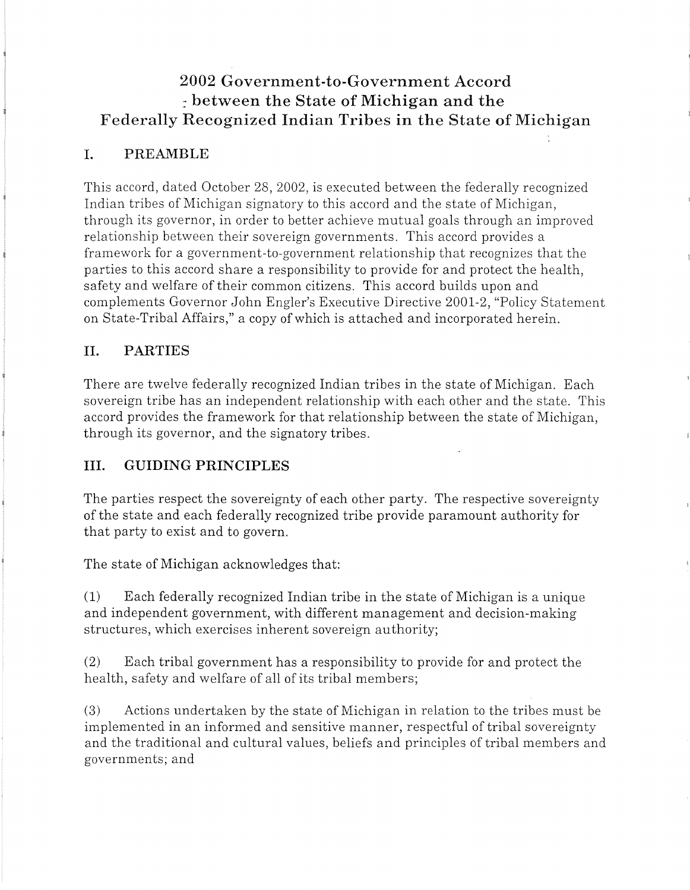# **2002 Government-to-Government Accord**  *::* **between the State of Michigan and the Federally Recognized Indian Tribes in the State of Michigan**

# I. **PREAMBLE**

This accord, dated October 28, 2002, is executed between the federally recognized Indian tribes of Michigan signatory to this accord and the state of Michigan, through its governor, in order to better achieve mutual goals through an improved relationship between their sovereign governments. This accord provides a framework for a government-to-government relationship that recognizes that the parties to this accord share a responsibility to provide for and protect the health, safety and welfare of their common citizens. This accord builds upon and complements Governor John Engler's Executive Directive 2001-2, "Policy Statement on State-Tribal Affairs," a copy of which is attached and incorporated herein.

# II. **PARTIES**

There are twelve federally recognized Indian tribes in the state of Michigan. Each sovereign tribe has an independent relationship with each other and the state. This accord provides the framework for that relationship between the state of Michigan, through its governor, and the signatory tribes.

# III. **GUIDING PRINCIPLES**

The parties respect the sovereignty of each other party. The respective sovereignty of the state and each federally recognized tribe provide paramount authority for that party to exist and to govern.

The state of Michigan acknowledges that:

(1) Each federally recognized Indian tribe in the state of Michigan is a unique and independent government, with different management and decision-making structures, which exercises inherent sovereign authority;

(2) Each tribal government has a responsibility to provide for and protect the health, safety and welfare of all of its tribal members;

(3) Actions undertaken by the state of Michigan in relation to the tribes must be implemented in an informed and sensitive manner, respectful of tribal sovereignty and the traditional and cultural values, beliefs and principles of tribal members and governments; and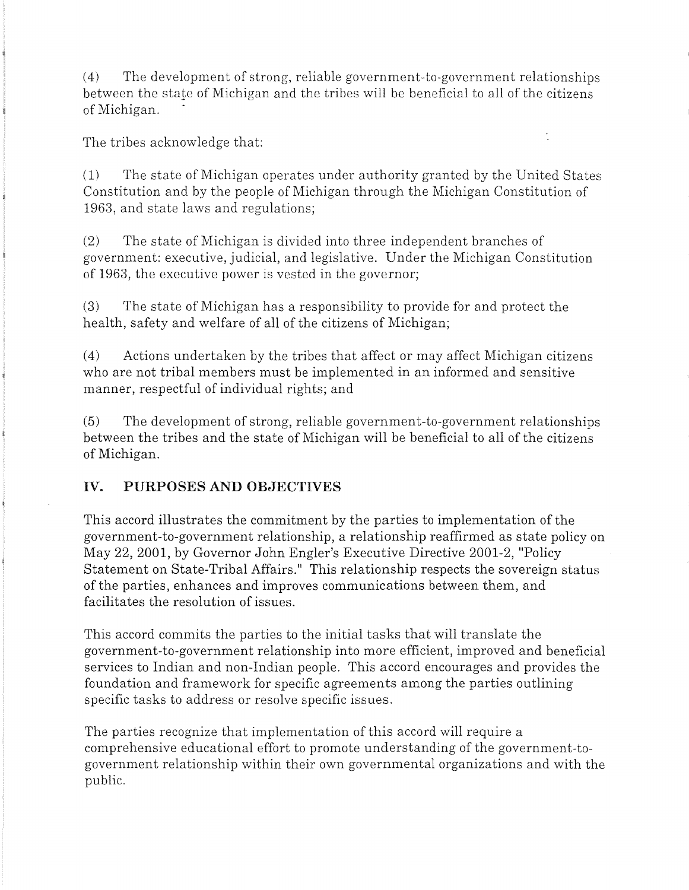(4) The development of strong, reliable government-to-government relationships between the state of Michigan and the tribes will be beneficial to all of the citizens of Michigan.

÷,

The tribes acknowledge that:

(1) The state of Michigan operates under authority granted by the United States Constitution and by the people of Michigan through the Michigan Constitution of 1963, and state laws and regulations;

(2) The state of Michigan is divided into three independent branches of government: executive, judicial, and legislative. Under the Michigan Constitution of 1963, the executive power is vested in the governor;

(3) The state of Michigan has a responsibility to provide for and protect the health, safety and welfare of all of the citizens of Michigan;

(4) Actions undertaken by the tribes that affect or may affect Michigan citizens who are not tribal members must be implemented in an informed and sensitive manner, respectful of individual rights; and

(5) The development of strong, reliable government-to-government relationships between the tribes and the state of Michigan will be beneficial to all of the citizens of Michigan.

# **IV. PURPOSES AND OBJECTIVES**

This accord illustrates the commitment by the parties to implementation of the government-to-government relationship, a relationship reaffirmed as state policy on May 22, 2001, by Governor John Engler's Executive Directive 2001-2, "Policy Statement on State-Tribal Affairs." This relationship respects the sovereign status of the parties, enhances and improves communications between them, and facilitates the resolution of issues.

This accord commits the parties to the initial tasks that will translate the government-to-government relationship into more efficient, improved and beneficial services to Indian and non-Indian people. This accord encourages and provides the foundation and framework for specific agreements among the parties outlining specific tasks to address or resolve specific issues.

The parties recognize that implementation of this accord will require a comprehensive educational effort to promote understanding of the government-togovernment relationship within their own governmental organizations and with the public.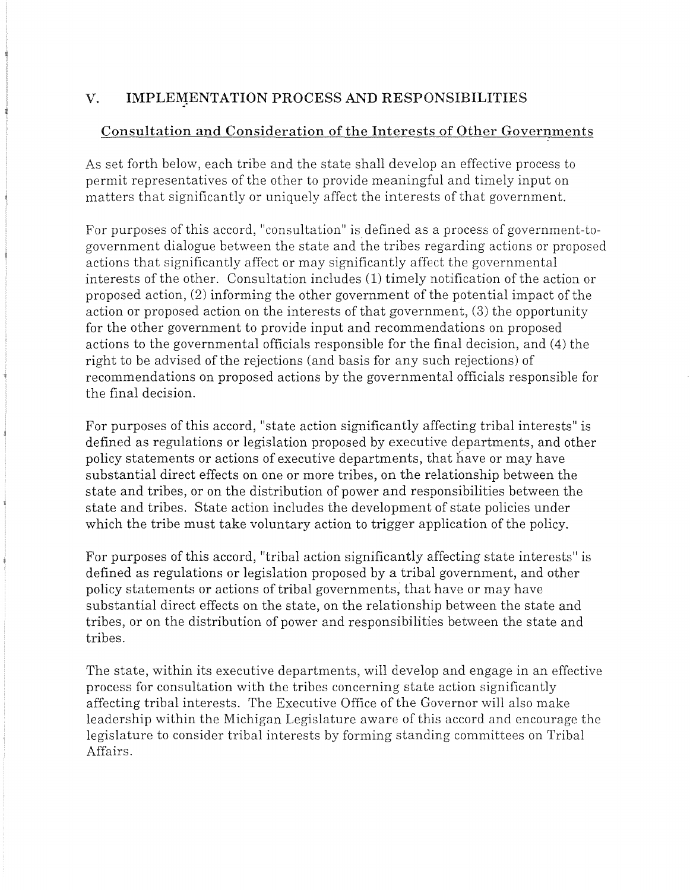# V. **IMPLEMENTATION PROCESS AND RESPONSIBILITIES**

# **Consultation and Consideration of the Interests of Other Governments**

As set forth below, each tribe and the state shall develop an effective process to permit representatives of the other to provide meaningful and timely input on matters that significantly or uniquely affect the interests of that government.

For purposes of this accord, "consultation" is defined as a process of government-togovernment dialogue between the state and the tribes regarding actions or proposed actions that significantly affect or may significantly affect the governmental interests of the other. Consultation includes (1) timely notification of the action or proposed action, (2) informing the other government of the potential impact of the action or proposed action on the interests of that government, (3) the opportunity for the other government to provide input and recommendations on proposed actions to the governmental officials responsible for the final decision, and (4) the right to be advised of the rejections (and basis for any such rejections) of recommendations on proposed actions by the governmental officials responsible for the final decision.

For purposes of this accord, "state action significantly affecting tribal interests" is defined as regulations or legislation proposed by executive departments, and other policy statements or actions of executive departments, that have or may have substantial direct effects on one or more tribes, on the relationship between the state and tribes, or on the distribution of power and responsibilities between the state and tribes. State action includes the development of state policies under which the tribe must take voluntary action to trigger application of the policy.

For purposes of this accord, "tribal action significantly affecting state interests" is defined as regulations or legislation proposed by a tribal government, and other policy statements or actions of tribal governments; that have or may have substantial direct effects on the state, on the relationship between the state and tribes, or on the distribution of power and responsibilities between the state and tribes.

The state, within its executive departments, will develop and engage in an effective process for consultation with the tribes concerning state action significantly affecting tribal interests. The Executive Office of the Governor will also make leadership within the Michigan Legislature aware of this accord and encourage the legislature to consider tribal interests by forming standing committees on Tribal Affairs.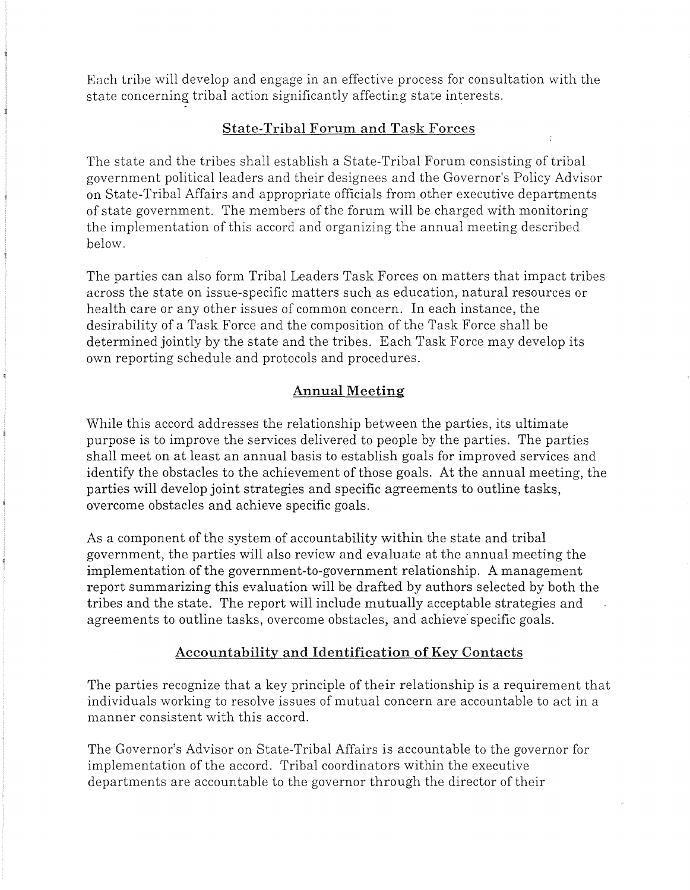Each tribe will develop and engage in an effective process for consultation with the state concerning tribal action significantly affecting state interests.

#### **State-Tribal Forum and Task Forces**

The state and the tribes shall establish a State-Tribal Forum consisting of tribal government political leaders and their designees and the Governor's Policy Advisor on State-Tribal Affairs and appropriate officials from other executive departments of state government. The members of the forum will be charged with monitoring the implementation of this accord and organizing the annual meeting described below.

The parties can also form Tribal Leaders Task Forces on matters that impact tribes across the state on issue-specific matters such as education, natural resources or health care or any other issues of common concern. In each instance, the desirability of a Task Force and the composition of the Task Force shall be determined jointly by the state and the tribes. Each Task Force may develop its own reporting schedule and protocols and procedures.

#### **Annual Meeting**

While this accord addresses the relationship between the parties, its ultimate purpose is to improve the services delivered to people by the parties. The parties shall meet on at least an annual basis to establish goals for improved services and identify the obstacles to the achievement of those goals. At the annual meeting, the parties will develop joint strategies and specific agreements to outline tasks, overcome obstacles and achieve specific goals.

As a component of the system of accountability within the state and tribal government, the parties will also review and evaluate at the annual meeting the implementation of the government-to-government relationship. A management report summarizing this evaluation will be drafted by authors selected by both the tribes and the state. The report will include mutually acceptable strategies and agreements to outline tasks, overcome obstacles, and achieve specific goals.

#### **Accountability and Identification of Key Contacts**

The parties recognize that a key principle of their relationship is a requirement that individuals working to resolve issues of mutual concern are accountable to act in a manner consistent with this accord.

The Governor's Advisor on State-Tribal Affairs is accountable to the governor for implementation of the accord. Tribal coordinators within the executive departments are accountable to the governor through the director of their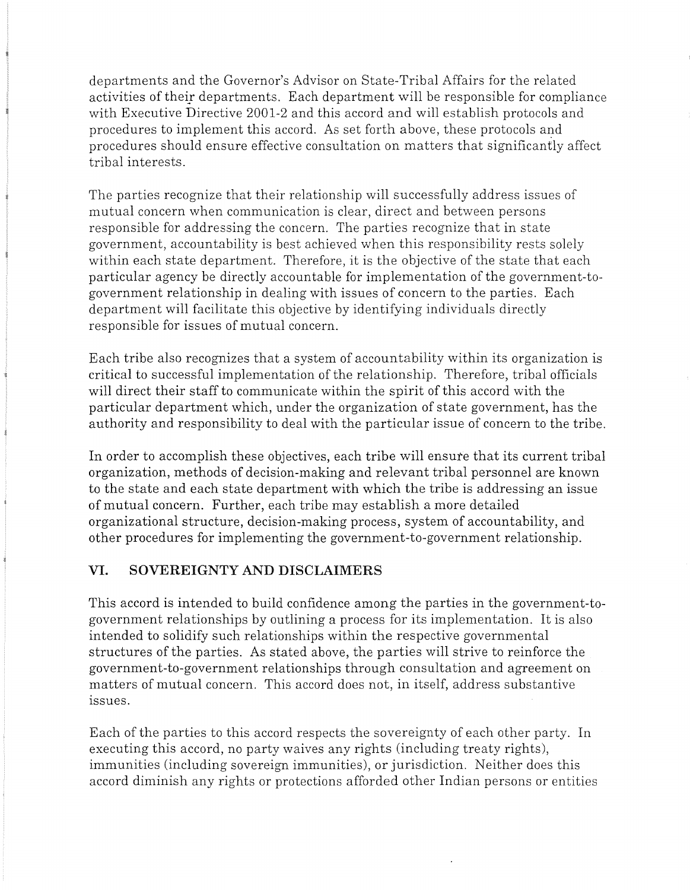departments and the Governor's Advisor on State-Tribal Affairs for the related activities of their departments. Each department will be responsible for compliance with Executive Directive 2001-2 and this accord and will establish protocols and procedures to implement this accord. As set forth above, these protocols and procedures should ensure effective consultation on matters that significantly affect tribal interests.

The parties recognize that their relationship will successfully address issues of mutual concern when communication is clear, direct and between persons responsible for addressing the concern. The parties recognize that in state government, accountability is best achieved when this responsibility rests solely within each state department. Therefore, it is the objective of the state that each particular agency be directly accountable for implementation of the government-togovernment relationship in dealing with issues of concern to the parties. Each department will facilitate this objective by identifying individuals directly responsible for issues of mutual concern.

Each tribe also recognizes that a system of accountability within its organization is critical to successful implementation of the relationship. Therefore, tribal officials will direct their staff to communicate within the spirit of this accord with the particular department which, under the organization of state government, has the authority and responsibility to deal with the particular issue of concern to the tribe.

In order to accomplish these objectives, each tribe will ensure that its current tribal organization, methods of decision-making and relevant tribal personnel are known to the state and each state department with which the tribe is addressing an issue of mutual concern. Further, each tribe may establish a more detailed organizational structure, decision-making process, system of accountability, and other procedures for implementing the government-to-government relationship.

# **VI. SOVEREIGNTY AND DISCLAIMERS**

This accord is intended to build confidence among the parties in the government-togovernment relationships by outlining a process for its implementation. It is also intended to solidify such relationships within the respective governmental structures of the parties. As stated above, the parties will strive to reinforce the government-to-government relationships through consultation and agreement on matters of mutual concern. This accord does not, in itself, address substantive issues.

Each of the parties to this accord respects the sovereignty of each other party. In executing this accord, no party waives any rights (including treaty rights), immunities (including sovereign immunities), or jurisdiction. Neither does this accord diminish any rights or protections afforded other Indian persons or entities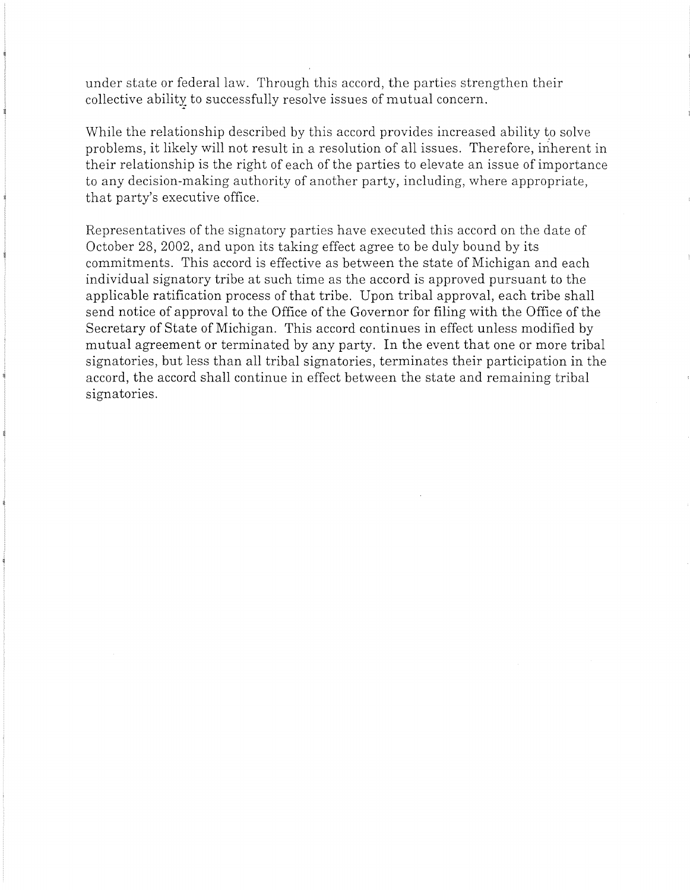under state or federal law. Through this accord, the parties strengthen their collective ability to successfully resolve issues of mutual concern.

While the relationship described by this accord provides increased ability to solve problems, it likely will not result in a resolution of all issues. Therefore, inherent in their relationship is the right of each of the parties to elevate an issue of importance to any decision-making authority of another party, including, where appropriate, that party's executive office.

Representatives of the signatory parties have executed this accord on the date of October 28, 2002, and upon its taking effect agree to be duly bound by its commitments. This accord is effective as between the state of Michigan and each individual signatory tribe at such time as the accord is approved pursuant to the applicable ratification process of that tribe. Upon tribal approval, each tribe shall send notice of approval to the Office of the Governor for filing with the Office of the Secretary of State of Michigan. This accord continues in effect unless modified by mutual agreement or terminated by any party. In the event that one or more tribal signatories, but less than all tribal signatories, terminates their participation in the accord, the accord shall continue in effect between the state and remaining tribal signatories.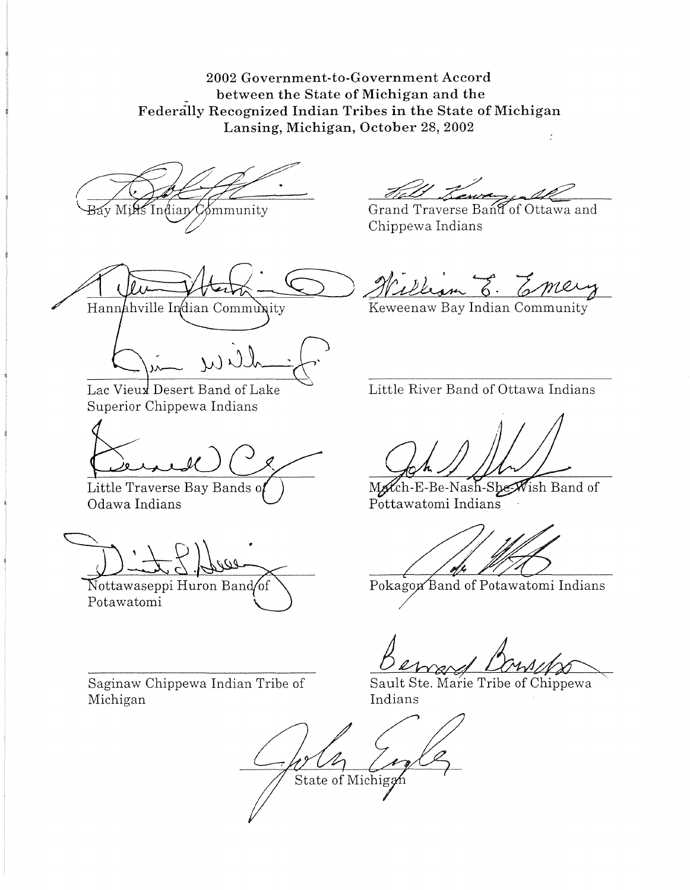2002 Government-to-Government Accord \_ between the State of Michigan and the Federally Recognized Indian Tribes in the State of Michigan Lansing, Michigan, October 28, 2002

Indian  $\mathcal{C}$  mmunity



Hannahville Indian Community

Lac Vieux Desert Band of Lake Superior Chippewa Indians

Little Traverse Bay Bands o Odawa Indians

Nottawaseppi Huron Bandof Potawatomi

Grand Traverse Band of Ottawa and Chippewa Indians

Keweenaw Bay Indian Community

Little River Band of Ottawa Indians

Match-E-Be-Nash-She-Wish Band of Pottawatomi Indians

Pokagon Band of Potawatomi Indians

Bewerf Louise

Saginaw Chippewa Indian Tribe of Michigan

Indians

State of Michiga